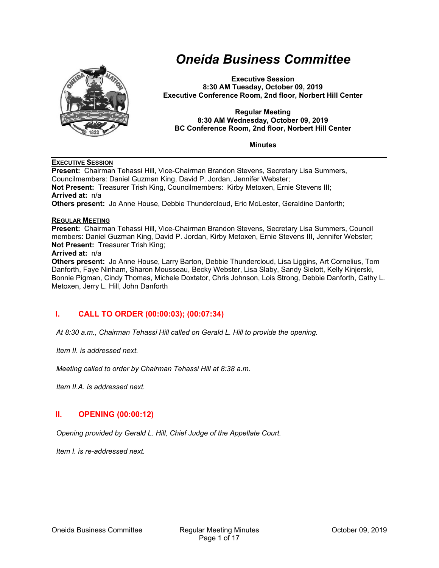

# *Oneida Business Committee*

**Executive Session 8:30 AM Tuesday, October 09, 2019 Executive Conference Room, 2nd floor, Norbert Hill Center** 

#### **Regular Meeting 8:30 AM Wednesday, October 09, 2019 BC Conference Room, 2nd floor, Norbert Hill Center**

**Minutes** 

#### **EXECUTIVE SESSION**

**Present:** Chairman Tehassi Hill, Vice-Chairman Brandon Stevens, Secretary Lisa Summers, Councilmembers: Daniel Guzman King, David P. Jordan, Jennifer Webster; **Not Present:** Treasurer Trish King, Councilmembers: Kirby Metoxen, Ernie Stevens III; **Arrived at:** n/a **Others present:** Jo Anne House, Debbie Thundercloud, Eric McLester, Geraldine Danforth;

#### **REGULAR MEETING**

**Present:** Chairman Tehassi Hill, Vice-Chairman Brandon Stevens, Secretary Lisa Summers, Council members: Daniel Guzman King, David P. Jordan, Kirby Metoxen, Ernie Stevens III, Jennifer Webster; **Not Present:** Treasurer Trish King;

#### **Arrived at:** n/a

**Others present:** Jo Anne House, Larry Barton, Debbie Thundercloud, Lisa Liggins, Art Cornelius, Tom Danforth, Faye Ninham, Sharon Mousseau, Becky Webster, Lisa Slaby, Sandy Sielott, Kelly Kinjerski, Bonnie Pigman, Cindy Thomas, Michele Doxtator, Chris Johnson, Lois Strong, Debbie Danforth, Cathy L. Metoxen, Jerry L. Hill, John Danforth

## **I. CALL TO ORDER (00:00:03); (00:07:34)**

*At 8:30 a.m., Chairman Tehassi Hill called on Gerald L. Hill to provide the opening.* 

*Item II. is addressed next.* 

*Meeting called to order by Chairman Tehassi Hill at 8:38 a.m.* 

*Item II.A. is addressed next.* 

## **II. OPENING (00:00:12)**

*Opening provided by Gerald L. Hill, Chief Judge of the Appellate Court.* 

*Item I. is re-addressed next.*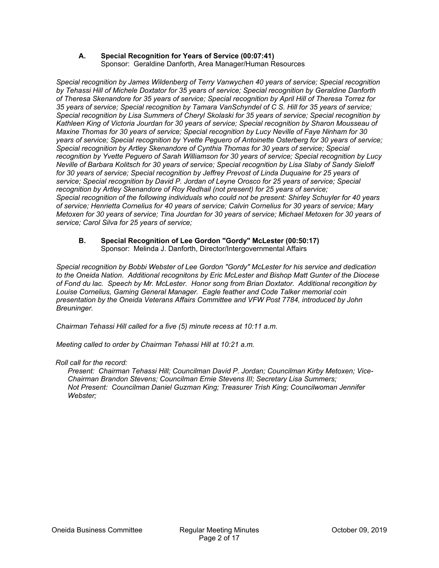#### **A. Special Recognition for Years of Service (00:07:41)**  Sponsor: Geraldine Danforth, Area Manager/Human Resources

*Special recognition by James Wildenberg of Terry Vanwychen 40 years of service; Special recognition by Tehassi Hill of Michele Doxtator for 35 years of service; Special recognition by Geraldine Danforth of Theresa Skenandore for 35 years of service; Special recognition by April Hill of Theresa Torrez for 35 years of service; Special recognition by Tamara VanSchyndel of C S. Hill for 35 years of service; Special recognition by Lisa Summers of Cheryl Skolaski for 35 years of service; Special recognition by Kathleen King of Victoria Jourdan for 30 years of service; Special recognition by Sharon Mousseau of Maxine Thomas for 30 years of service; Special recognition by Lucy Neville of Faye Ninham for 30 years of service; Special recognition by Yvette Peguero of Antoinette Osterberg for 30 years of service; Special recognition by Artley Skenandore of Cynthia Thomas for 30 years of service; Special recognition by Yvette Peguero of Sarah Williamson for 30 years of service; Special recognition by Lucy Neville of Barbara Kolitsch for 30 years of service; Special recognition by Lisa Slaby of Sandy Sieloff*  for 30 years of service; Special recognition by Jeffrey Prevost of Linda Duquaine for 25 years of *service; Special recognition by David P. Jordan of Leyne Orosco for 25 years of service; Special recognition by Artley Skenandore of Roy Redhail (not present) for 25 years of service; Special recognition of the following individuals who could not be present: Shirley Schuyler for 40 years of service; Henrietta Cornelius for 40 years of service; Calvin Cornelius for 30 years of service; Mary Metoxen for 30 years of service; Tina Jourdan for 30 years of service; Michael Metoxen for 30 years of service; Carol Silva for 25 years of service;* 

#### **B. Special Recognition of Lee Gordon "Gordy" McLester (00:50:17)**  Sponsor: Melinda J. Danforth, Director/Intergovernmental Affairs

*Special recognition by Bobbi Webster of Lee Gordon "Gordy" McLester for his service and dedication to the Oneida Nation. Additional recognitons by Eric McLester and Bishop Matt Gunter of the Diocese of Fond du lac. Speech by Mr. McLester. Honor song from Brian Doxtator. Additional recongition by Louise Cornelius, Gaming General Manager. Eagle feather and Code Talker memorial coin presentation by the Oneida Veterans Affairs Committee and VFW Post 7784, introduced by John Breuninger.* 

*Chairman Tehassi Hill called for a five (5) minute recess at 10:11 a.m.* 

*Meeting called to order by Chairman Tehassi Hill at 10:21 a.m.* 

#### *Roll call for the record:*

*Present: Chairman Tehassi Hill; Councilman David P. Jordan; Councilman Kirby Metoxen; Vice-Chairman Brandon Stevens; Councilman Ernie Stevens III; Secretary Lisa Summers; Not Present: Councilman Daniel Guzman King; Treasurer Trish King; Councilwoman Jennifer Webster;*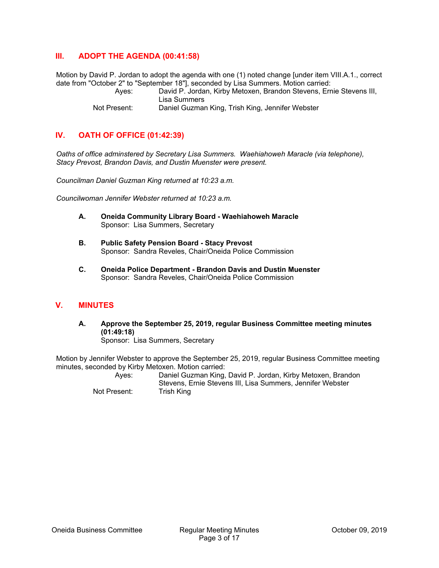## **III. ADOPT THE AGENDA (00:41:58)**

Motion by David P. Jordan to adopt the agenda with one (1) noted change [under item VIII.A.1., correct date from "October 2" to "September 18"], seconded by Lisa Summers. Motion carried:

 Ayes: David P. Jordan, Kirby Metoxen, Brandon Stevens, Ernie Stevens III, Lisa Summers Not Present: Daniel Guzman King, Trish King, Jennifer Webster

## **IV. OATH OF OFFICE (01:42:39)**

*Oaths of office adminstered by Secretary Lisa Summers. Waehiahoweh Maracle (via telephone), Stacy Prevost, Brandon Davis, and Dustin Muenster were present.* 

*Councilman Daniel Guzman King returned at 10:23 a.m.* 

*Councilwoman Jennifer Webster returned at 10:23 a.m.* 

- **A. Oneida Community Library Board Waehiahoweh Maracle**  Sponsor: Lisa Summers, Secretary
- **B. Public Safety Pension Board Stacy Prevost**  Sponsor: Sandra Reveles, Chair/Oneida Police Commission
- **C. Oneida Police Department Brandon Davis and Dustin Muenster**  Sponsor: Sandra Reveles, Chair/Oneida Police Commission

### **V. MINUTES**

**A. Approve the September 25, 2019, regular Business Committee meeting minutes (01:49:18)**  Sponsor: Lisa Summers, Secretary

Motion by Jennifer Webster to approve the September 25, 2019, regular Business Committee meeting minutes, seconded by Kirby Metoxen. Motion carried:

 Ayes: Daniel Guzman King, David P. Jordan, Kirby Metoxen, Brandon Stevens, Ernie Stevens III, Lisa Summers, Jennifer Webster Not Present: Trish King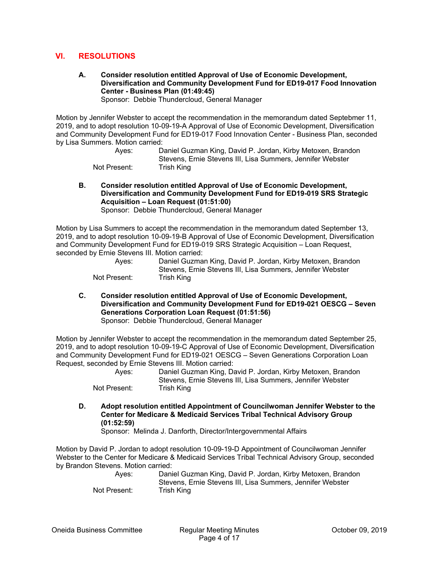## **VI. RESOLUTIONS**

**A. Consider resolution entitled Approval of Use of Economic Development, Diversification and Community Development Fund for ED19-017 Food Innovation Center - Business Plan (01:49:45)**  Sponsor: Debbie Thundercloud, General Manager

Motion by Jennifer Webster to accept the recommendation in the memorandum dated Septebmer 11, 2019, and to adopt resolution 10-09-19-A Approval of Use of Economic Development, Diversification and Community Development Fund for ED19-017 Food Innovation Center - Business Plan, seconded by Lisa Summers. Motion carried:

| Aves:        | Daniel Guzman King, David P. Jordan, Kirby Metoxen, Brandon |
|--------------|-------------------------------------------------------------|
|              | Stevens. Ernie Stevens III. Lisa Summers. Jennifer Webster  |
| Not Present: | Trish King                                                  |

**B. Consider resolution entitled Approval of Use of Economic Development, Diversification and Community Development Fund for ED19-019 SRS Strategic Acquisition – Loan Request (01:51:00)**  Sponsor: Debbie Thundercloud, General Manager

Motion by Lisa Summers to accept the recommendation in the memorandum dated September 13, 2019, and to adopt resolution 10-09-19-B Approval of Use of Economic Development, Diversification and Community Development Fund for ED19-019 SRS Strategic Acquisition – Loan Request, seconded by Ernie Stevens III. Motion carried:

| Aves:        | Daniel Guzman King, David P. Jordan, Kirby Metoxen, Brandon |
|--------------|-------------------------------------------------------------|
|              | Stevens, Ernie Stevens III, Lisa Summers, Jennifer Webster  |
| Not Present: | Trish King                                                  |

**C. Consider resolution entitled Approval of Use of Economic Development, Diversification and Community Development Fund for ED19-021 OESCG – Seven Generations Corporation Loan Request (01:51:56)**  Sponsor: Debbie Thundercloud, General Manager

Motion by Jennifer Webster to accept the recommendation in the memorandum dated September 25, 2019, and to adopt resolution 10-09-19-C Approval of Use of Economic Development, Diversification and Community Development Fund for ED19-021 OESCG – Seven Generations Corporation Loan Request, seconded by Ernie Stevens III. Motion carried:

 Ayes: Daniel Guzman King, David P. Jordan, Kirby Metoxen, Brandon Stevens, Ernie Stevens III, Lisa Summers, Jennifer Webster Not Present: Trish King

**D. Adopt resolution entitled Appointment of Councilwoman Jennifer Webster to the Center for Medicare & Medicaid Services Tribal Technical Advisory Group (01:52:59)** 

Sponsor: Melinda J. Danforth, Director/Intergovernmental Affairs

Motion by David P. Jordan to adopt resolution 10-09-19-D Appointment of Councilwoman Jennifer Webster to the Center for Medicare & Medicaid Services Tribal Technical Advisory Group, seconded by Brandon Stevens. Motion carried:

 Ayes: Daniel Guzman King, David P. Jordan, Kirby Metoxen, Brandon Stevens, Ernie Stevens III, Lisa Summers, Jennifer Webster Not Present: Trish King

Oneida Business Committee Regular Meeting Minutes October 09, 2019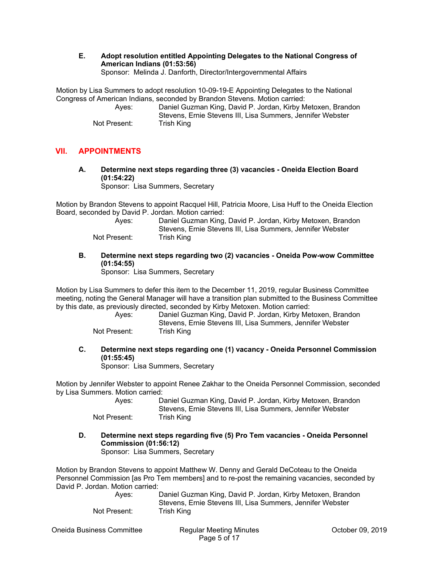**E. Adopt resolution entitled Appointing Delegates to the National Congress of American Indians (01:53:56)**  Sponsor: Melinda J. Danforth, Director/Intergovernmental Affairs

Motion by Lisa Summers to adopt resolution 10-09-19-E Appointing Delegates to the National Congress of American Indians, seconded by Brandon Stevens. Motion carried:

 Ayes: Daniel Guzman King, David P. Jordan, Kirby Metoxen, Brandon Stevens, Ernie Stevens III, Lisa Summers, Jennifer Webster Not Present: Trish King

## **VII. APPOINTMENTS**

**A. Determine next steps regarding three (3) vacancies - Oneida Election Board (01:54:22)** 

Sponsor: Lisa Summers, Secretary

Motion by Brandon Stevens to appoint Racquel Hill, Patricia Moore, Lisa Huff to the Oneida Election Board, seconded by David P. Jordan. Motion carried:

| Aves:        | Daniel Guzman King, David P. Jordan, Kirby Metoxen, Brandon |
|--------------|-------------------------------------------------------------|
|              | Stevens. Ernie Stevens III. Lisa Summers. Jennifer Webster  |
| Not Present: | Trish Kina                                                  |

**B. Determine next steps regarding two (2) vacancies - Oneida Pow-wow Committee (01:54:55)** 

Sponsor: Lisa Summers, Secretary

Motion by Lisa Summers to defer this item to the December 11, 2019, regular Business Committee meeting, noting the General Manager will have a transition plan submitted to the Business Committee by this date, as previously directed, seconded by Kirby Metoxen. Motion carried:

 Ayes: Daniel Guzman King, David P. Jordan, Kirby Metoxen, Brandon Stevens, Ernie Stevens III, Lisa Summers, Jennifer Webster Not Present: Trish King

**C. Determine next steps regarding one (1) vacancy - Oneida Personnel Commission (01:55:45)** 

Sponsor: Lisa Summers, Secretary

Motion by Jennifer Webster to appoint Renee Zakhar to the Oneida Personnel Commission, seconded by Lisa Summers. Motion carried:

| Aves:        | Daniel Guzman King, David P. Jordan, Kirby Metoxen, Brandon |
|--------------|-------------------------------------------------------------|
|              | Stevens, Ernie Stevens III, Lisa Summers, Jennifer Webster  |
| Not Present: | Trish King                                                  |

**D. Determine next steps regarding five (5) Pro Tem vacancies - Oneida Personnel Commission (01:56:12)** 

Sponsor: Lisa Summers, Secretary

Motion by Brandon Stevens to appoint Matthew W. Denny and Gerald DeCoteau to the Oneida Personnel Commission [as Pro Tem members] and to re-post the remaining vacancies, seconded by David P. Jordan. Motion carried:

| Aves:        | Daniel Guzman King, David P. Jordan, Kirby Metoxen, Brandon |
|--------------|-------------------------------------------------------------|
|              | Stevens. Ernie Stevens III. Lisa Summers. Jennifer Webster  |
| Not Present: | Trish King                                                  |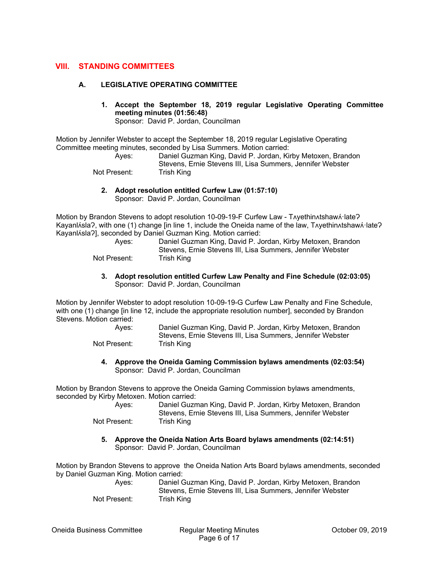### **VIII. STANDING COMMITTEES**

#### **A. LEGISLATIVE OPERATING COMMITTEE**

**1. Accept the September 18, 2019 regular Legislative Operating Committee meeting minutes (01:56:48)** 

Sponsor: David P. Jordan, Councilman

Motion by Jennifer Webster to accept the September 18, 2019 regular Legislative Operating Committee meeting minutes, seconded by Lisa Summers. Motion carried:

 Ayes: Daniel Guzman King, David P. Jordan, Kirby Metoxen, Brandon Stevens, Ernie Stevens III, Lisa Summers, Jennifer Webster Not Present: Trish King

**2. Adopt resolution entitled Curfew Law (01:57:10)**  Sponsor: David P. Jordan, Councilman

Motion by Brandon Stevens to adopt resolution 10-09-19-F Curfew Law - TAyethinAtshawA·late? Kayanl∧sla?, with one (1) change [in line 1, include the Oneida name of the law, T∧yethin∧tshaw∧·late?

|              | Kayanlísla?], seconded by Daniel Guzman King. Motion carried: |
|--------------|---------------------------------------------------------------|
| Aves:        | Daniel Guzman King, David P. Jordan, Kirby Metoxen, Brandon   |
|              | Stevens, Ernie Stevens III, Lisa Summers, Jennifer Webster    |
| Not Present: | Trish King                                                    |

**3. Adopt resolution entitled Curfew Law Penalty and Fine Schedule (02:03:05)**  Sponsor: David P. Jordan, Councilman

Motion by Jennifer Webster to adopt resolution 10-09-19-G Curfew Law Penalty and Fine Schedule, with one (1) change [in line 12, include the appropriate resolution number], seconded by Brandon Stevens. Motion carried:

 Ayes: Daniel Guzman King, David P. Jordan, Kirby Metoxen, Brandon Stevens, Ernie Stevens III, Lisa Summers, Jennifer Webster Not Present: Trish King

**4. Approve the Oneida Gaming Commission bylaws amendments (02:03:54)**  Sponsor: David P. Jordan, Councilman

Motion by Brandon Stevens to approve the Oneida Gaming Commission bylaws amendments, seconded by Kirby Metoxen. Motion carried:

| Aves:        | Daniel Guzman King, David P. Jordan, Kirby Metoxen, Brandon<br>Stevens, Ernie Stevens III, Lisa Summers, Jennifer Webster |
|--------------|---------------------------------------------------------------------------------------------------------------------------|
| Not Present: | Trish King                                                                                                                |

**5. Approve the Oneida Nation Arts Board bylaws amendments (02:14:51)**  Sponsor: David P. Jordan, Councilman

Motion by Brandon Stevens to approve the Oneida Nation Arts Board bylaws amendments, seconded by Daniel Guzman King. Motion carried:

 Ayes: Daniel Guzman King, David P. Jordan, Kirby Metoxen, Brandon Stevens, Ernie Stevens III, Lisa Summers, Jennifer Webster Not Present: Trish King

Oneida Business Committee Regular Meeting Minutes October 09, 2019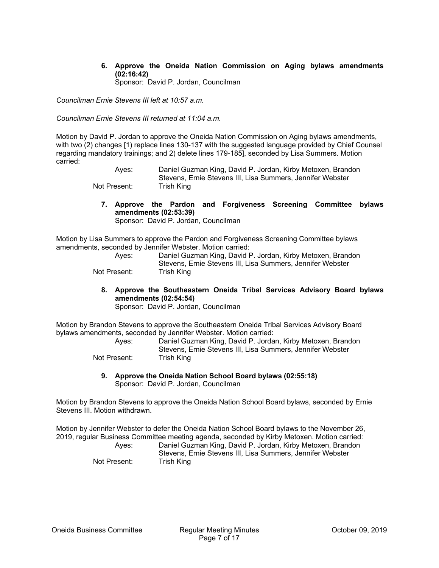**6. Approve the Oneida Nation Commission on Aging bylaws amendments (02:16:42)** 

Sponsor: David P. Jordan, Councilman

*Councilman Ernie Stevens III left at 10:57 a.m.* 

*Councilman Ernie Stevens III returned at 11:04 a.m.* 

Motion by David P. Jordan to approve the Oneida Nation Commission on Aging bylaws amendments, with two (2) changes [1) replace lines 130-137 with the suggested language provided by Chief Counsel regarding mandatory trainings; and 2) delete lines 179-185], seconded by Lisa Summers. Motion carried:

 Ayes: Daniel Guzman King, David P. Jordan, Kirby Metoxen, Brandon Stevens, Ernie Stevens III, Lisa Summers, Jennifer Webster Not Present: Trish King

**7. Approve the Pardon and Forgiveness Screening Committee bylaws amendments (02:53:39)**  Sponsor: David P. Jordan, Councilman

Motion by Lisa Summers to approve the Pardon and Forgiveness Screening Committee bylaws amendments, seconded by Jennifer Webster. Motion carried:

| Aves:        | Daniel Guzman King, David P. Jordan, Kirby Metoxen, Brandon |
|--------------|-------------------------------------------------------------|
|              | Stevens. Ernie Stevens III. Lisa Summers. Jennifer Webster  |
| Not Present: | Trish King                                                  |

**8. Approve the Southeastern Oneida Tribal Services Advisory Board bylaws amendments (02:54:54)** 

Sponsor: David P. Jordan, Councilman

Motion by Brandon Stevens to approve the Southeastern Oneida Tribal Services Advisory Board bylaws amendments, seconded by Jennifer Webster. Motion carried:

| Aves:        | Daniel Guzman King, David P. Jordan, Kirby Metoxen, Brandon |
|--------------|-------------------------------------------------------------|
|              | Stevens. Ernie Stevens III. Lisa Summers. Jennifer Webster  |
| Not Present: | Trish King                                                  |

**9. Approve the Oneida Nation School Board bylaws (02:55:18)**  Sponsor: David P. Jordan, Councilman

Motion by Brandon Stevens to approve the Oneida Nation School Board bylaws, seconded by Ernie Stevens III. Motion withdrawn.

Motion by Jennifer Webster to defer the Oneida Nation School Board bylaws to the November 26, 2019, regular Business Committee meeting agenda, seconded by Kirby Metoxen. Motion carried: Ayes: Daniel Guzman King, David P. Jordan, Kirby Metoxen, Brandon Stevens, Ernie Stevens III, Lisa Summers, Jennifer Webster Not Present: Trish King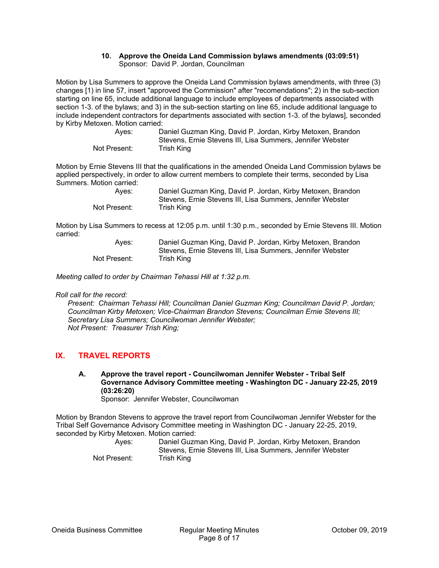#### **10. Approve the Oneida Land Commission bylaws amendments (03:09:51)**  Sponsor: David P. Jordan, Councilman

Motion by Lisa Summers to approve the Oneida Land Commission bylaws amendments, with three (3) changes [1) in line 57, insert "approved the Commission" after "recomendations"; 2) in the sub-section starting on line 65, include additional language to include employees of departments associated with section 1-3. of the bylaws; and 3) in the sub-section starting on line 65, include additional language to include independent contractors for departments associated with section 1-3. of the bylaws], seconded by Kirby Metoxen. Motion carried:

| Aves:        | Daniel Guzman King, David P. Jordan, Kirby Metoxen, Brandon<br>Stevens. Ernie Stevens III. Lisa Summers. Jennifer Webster |
|--------------|---------------------------------------------------------------------------------------------------------------------------|
|              |                                                                                                                           |
| Not Present: | Trish King                                                                                                                |

Motion by Ernie Stevens III that the qualifications in the amended Oneida Land Commission bylaws be applied perspectively, in order to allow current members to complete their terms, seconded by Lisa Summers. Motion carried:

| Aves:        | Daniel Guzman King, David P. Jordan, Kirby Metoxen, Brandon |
|--------------|-------------------------------------------------------------|
|              | Stevens, Ernie Stevens III, Lisa Summers, Jennifer Webster  |
| Not Present: | Trish King                                                  |

Motion by Lisa Summers to recess at 12:05 p.m. until 1:30 p.m., seconded by Ernie Stevens III. Motion carried:

| Aves:        | Daniel Guzman King, David P. Jordan, Kirby Metoxen, Brandon |
|--------------|-------------------------------------------------------------|
|              | Stevens. Ernie Stevens III. Lisa Summers. Jennifer Webster  |
| Not Present: | Trish King                                                  |

*Meeting called to order by Chairman Tehassi Hill at 1:32 p.m.* 

*Roll call for the record:* 

*Present: Chairman Tehassi Hill; Councilman Daniel Guzman King; Councilman David P. Jordan; Councilman Kirby Metoxen; Vice-Chairman Brandon Stevens; Councilman Ernie Stevens III; Secretary Lisa Summers; Councilwoman Jennifer Webster; Not Present: Treasurer Trish King;* 

## **IX. TRAVEL REPORTS**

**A. Approve the travel report - Councilwoman Jennifer Webster - Tribal Self Governance Advisory Committee meeting - Washington DC - January 22-25, 2019 (03:26:20)** 

Sponsor: Jennifer Webster, Councilwoman

Motion by Brandon Stevens to approve the travel report from Councilwoman Jennifer Webster for the Tribal Self Governance Advisory Committee meeting in Washington DC - January 22-25, 2019, seconded by Kirby Metoxen. Motion carried:

| Aves:        | Daniel Guzman King, David P. Jordan, Kirby Metoxen, Brandon |
|--------------|-------------------------------------------------------------|
|              | Stevens, Ernie Stevens III, Lisa Summers, Jennifer Webster  |
| Not Present: | Trish King                                                  |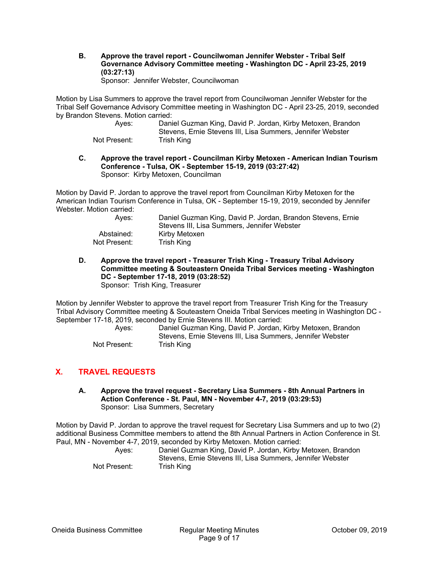**B. Approve the travel report - Councilwoman Jennifer Webster - Tribal Self Governance Advisory Committee meeting - Washington DC - April 23-25, 2019 (03:27:13)** 

Sponsor: Jennifer Webster, Councilwoman

Motion by Lisa Summers to approve the travel report from Councilwoman Jennifer Webster for the Tribal Self Governance Advisory Committee meeting in Washington DC - April 23-25, 2019, seconded by Brandon Stevens. Motion carried:

| Aves:        | Daniel Guzman King, David P. Jordan, Kirby Metoxen, Brandon |
|--------------|-------------------------------------------------------------|
|              | Stevens, Ernie Stevens III, Lisa Summers, Jennifer Webster  |
| Not Present: | Trish King                                                  |

**C. Approve the travel report - Councilman Kirby Metoxen - American Indian Tourism Conference - Tulsa, OK - September 15-19, 2019 (03:27:42)**  Sponsor: Kirby Metoxen, Councilman

Motion by David P. Jordan to approve the travel report from Councilman Kirby Metoxen for the American Indian Tourism Conference in Tulsa, OK - September 15-19, 2019, seconded by Jennifer Webster. Motion carried:

| Aves:        | Daniel Guzman King, David P. Jordan, Brandon Stevens, Ernie |
|--------------|-------------------------------------------------------------|
|              | Stevens III. Lisa Summers. Jennifer Webster                 |
| Abstained:   | Kirby Metoxen                                               |
| Not Present: | Trish King                                                  |

**D. Approve the travel report - Treasurer Trish King - Treasury Tribal Advisory Committee meeting & Souteastern Oneida Tribal Services meeting - Washington DC - September 17-18, 2019 (03:28:52)**  Sponsor: Trish King, Treasurer

Motion by Jennifer Webster to approve the travel report from Treasurer Trish King for the Treasury Tribal Advisory Committee meeting & Souteastern Oneida Tribal Services meeting in Washington DC - September 17-18, 2019, seconded by Ernie Stevens III. Motion carried:

 Ayes: Daniel Guzman King, David P. Jordan, Kirby Metoxen, Brandon Stevens, Ernie Stevens III, Lisa Summers, Jennifer Webster Not Present: Trish King

## **X. TRAVEL REQUESTS**

**A. Approve the travel request - Secretary Lisa Summers - 8th Annual Partners in Action Conference - St. Paul, MN - November 4-7, 2019 (03:29:53)**  Sponsor: Lisa Summers, Secretary

Motion by David P. Jordan to approve the travel request for Secretary Lisa Summers and up to two (2) additional Business Committee members to attend the 8th Annual Partners in Action Conference in St. Paul, MN - November 4-7, 2019, seconded by Kirby Metoxen. Motion carried:

| Aves:        | Daniel Guzman King, David P. Jordan, Kirby Metoxen, Brandon<br>Stevens. Ernie Stevens III. Lisa Summers. Jennifer Webster |
|--------------|---------------------------------------------------------------------------------------------------------------------------|
| Not Present: | Trish King                                                                                                                |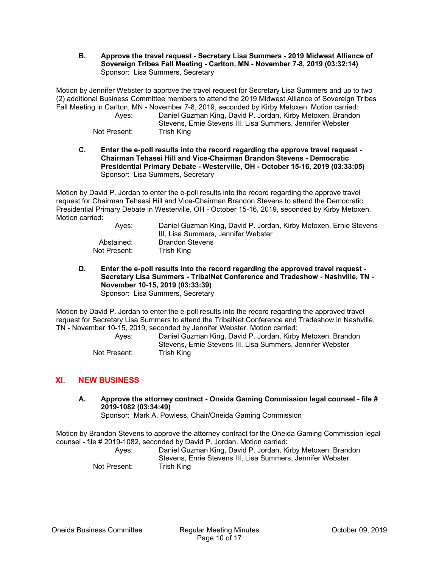**B. Approve the travel request - Secretary Lisa Summers - 2019 Midwest Alliance of Sovereign Tribes Fall Meeting - Carlton, MN - November 7-8, 2019 (03:32:14)**  Sponsor: Lisa Summers, Secretary

Motion by Jennifer Webster to approve the travel request for Secretary Lisa Summers and up to two (2) additional Business Committee members to attend the 2019 Midwest Alliance of Sovereign Tribes Fall Meeting in Carlton, MN - November 7-8, 2019, seconded by Kirby Metoxen. Motion carried:

| Aves:        | Daniel Guzman King, David P. Jordan, Kirby Metoxen, Brandon |
|--------------|-------------------------------------------------------------|
|              | Stevens, Ernie Stevens III, Lisa Summers, Jennifer Webster  |
| Not Present: | Trish King                                                  |

**C. Enter the e-poll results into the record regarding the approve travel request - Chairman Tehassi Hill and Vice-Chairman Brandon Stevens - Democratic Presidential Primary Debate - Westerville, OH - October 15-16, 2019 (03:33:05)**  Sponsor: Lisa Summers, Secretary

Motion by David P. Jordan to enter the e-poll results into the record regarding the approve travel request for Chairman Tehassi Hill and Vice-Chairman Brandon Stevens to attend the Democratic Presidential Primary Debate in Westerville, OH - October 15-16, 2019, seconded by Kirby Metoxen. Motion carried:

| Aves:        | Daniel Guzman King, David P. Jordan, Kirby Metoxen, Ernie Stevens<br>III, Lisa Summers, Jennifer Webster |
|--------------|----------------------------------------------------------------------------------------------------------|
| Abstained:   | <b>Brandon Stevens</b>                                                                                   |
| Not Present: | Trish King                                                                                               |

**D. Enter the e-poll results into the record regarding the approved travel request - Secretary Lisa Summers - TribalNet Conference and Tradeshow - Nashville, TN - November 10-15, 2019 (03:33:39)**  Sponsor: Lisa Summers, Secretary

Motion by David P. Jordan to enter the e-poll results into the record regarding the approved travel request for Secretary Lisa Summers to attend the TribalNet Conference and Tradeshow in Nashville, TN - November 10-15, 2019, seconded by Jennifer Webster. Motion carried:

 Ayes: Daniel Guzman King, David P. Jordan, Kirby Metoxen, Brandon Stevens, Ernie Stevens III, Lisa Summers, Jennifer Webster Not Present: Trish King

# **XI. NEW BUSINESS**

**A. Approve the attorney contract - Oneida Gaming Commission legal counsel - file # 2019-1082 (03:34:49)** 

Sponsor: Mark A. Powless, Chair/Oneida Gaming Commission

Motion by Brandon Stevens to approve the attorney contract for the Oneida Gaming Commission legal counsel - file # 2019-1082, seconded by David P. Jordan. Motion carried:

| Aves:        | Daniel Guzman King, David P. Jordan, Kirby Metoxen, Brandon |
|--------------|-------------------------------------------------------------|
|              | Stevens, Ernie Stevens III, Lisa Summers, Jennifer Webster  |
| Not Present: | Trish King                                                  |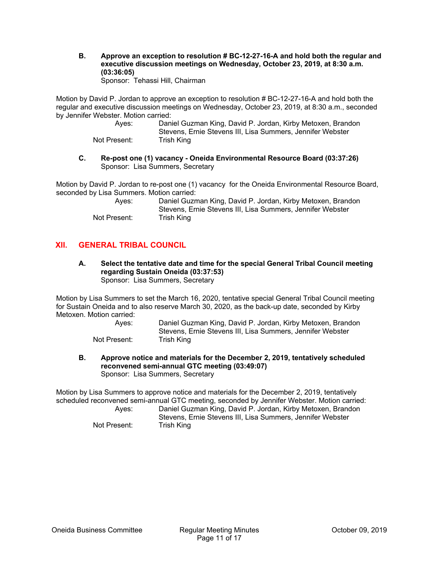**B. Approve an exception to resolution # BC-12-27-16-A and hold both the regular and executive discussion meetings on Wednesday, October 23, 2019, at 8:30 a.m. (03:36:05)**  Sponsor: Tehassi Hill, Chairman

Motion by David P. Jordan to approve an exception to resolution # BC-12-27-16-A and hold both the regular and executive discussion meetings on Wednesday, October 23, 2019, at 8:30 a.m., seconded by Jennifer Webster. Motion carried:

| Aves:        | Daniel Guzman King, David P. Jordan, Kirby Metoxen, Brandon |
|--------------|-------------------------------------------------------------|
|              | Stevens, Ernie Stevens III, Lisa Summers, Jennifer Webster  |
| Not Present: | Trish King                                                  |

**C. Re-post one (1) vacancy - Oneida Environmental Resource Board (03:37:26)**  Sponsor: Lisa Summers, Secretary

Motion by David P. Jordan to re-post one (1) vacancy for the Oneida Environmental Resource Board, seconded by Lisa Summers. Motion carried:

| Aves:        | Daniel Guzman King, David P. Jordan, Kirby Metoxen, Brandon<br>Stevens. Ernie Stevens III. Lisa Summers. Jennifer Webster |
|--------------|---------------------------------------------------------------------------------------------------------------------------|
| Not Present: | Trish King                                                                                                                |

## **XII. GENERAL TRIBAL COUNCIL**

**A. Select the tentative date and time for the special General Tribal Council meeting regarding Sustain Oneida (03:37:53)**  Sponsor: Lisa Summers, Secretary

Motion by Lisa Summers to set the March 16, 2020, tentative special General Tribal Council meeting for Sustain Oneida and to also reserve March 30, 2020, as the back-up date, seconded by Kirby Metoxen. Motion carried:

> Ayes: Daniel Guzman King, David P. Jordan, Kirby Metoxen, Brandon Stevens, Ernie Stevens III, Lisa Summers, Jennifer Webster Not Present: Trish King

**B. Approve notice and materials for the December 2, 2019, tentatively scheduled reconvened semi-annual GTC meeting (03:49:07)**  Sponsor: Lisa Summers, Secretary

Motion by Lisa Summers to approve notice and materials for the December 2, 2019, tentatively scheduled reconvened semi-annual GTC meeting, seconded by Jennifer Webster. Motion carried: Ayes: Daniel Guzman King, David P. Jordan, Kirby Metoxen, Brandon

Not Present: Trish King

Stevens, Ernie Stevens III, Lisa Summers, Jennifer Webster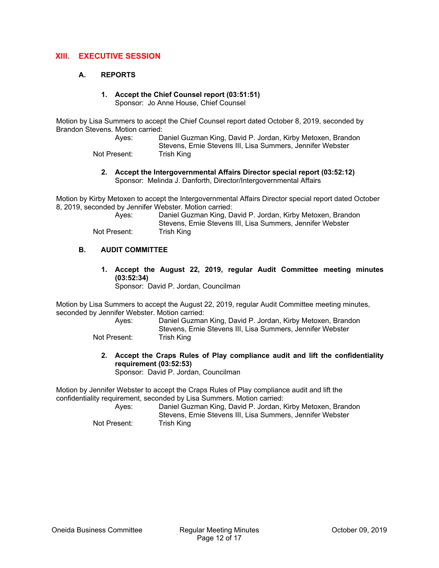## **XIII. EXECUTIVE SESSION**

#### **A. REPORTS**

# **1. Accept the Chief Counsel report (03:51:51)**

Sponsor: Jo Anne House, Chief Counsel

Motion by Lisa Summers to accept the Chief Counsel report dated October 8, 2019, seconded by Brandon Stevens. Motion carried:

> Ayes: Daniel Guzman King, David P. Jordan, Kirby Metoxen, Brandon Stevens, Ernie Stevens III, Lisa Summers, Jennifer Webster Not Present: Trish King

**2. Accept the Intergovernmental Affairs Director special report (03:52:12)**  Sponsor: Melinda J. Danforth, Director/Intergovernmental Affairs

Motion by Kirby Metoxen to accept the Intergovernmental Affairs Director special report dated October 8, 2019, seconded by Jennifer Webster. Motion carried:

| Aves:        | Daniel Guzman King, David P. Jordan, Kirby Metoxen, Brandon |
|--------------|-------------------------------------------------------------|
|              | Stevens, Ernie Stevens III, Lisa Summers, Jennifer Webster  |
| Not Present: | Trish King                                                  |

#### **B. AUDIT COMMITTEE**

**1. Accept the August 22, 2019, regular Audit Committee meeting minutes (03:52:34)** 

Sponsor: David P. Jordan, Councilman

Motion by Lisa Summers to accept the August 22, 2019, regular Audit Committee meeting minutes, seconded by Jennifer Webster. Motion carried:

- Ayes: Daniel Guzman King, David P. Jordan, Kirby Metoxen, Brandon Stevens, Ernie Stevens III, Lisa Summers, Jennifer Webster Not Present: Trish King
- - **2. Accept the Craps Rules of Play compliance audit and lift the confidentiality requirement (03:52:53)**  Sponsor: David P. Jordan, Councilman

Motion by Jennifer Webster to accept the Craps Rules of Play compliance audit and lift the confidentiality requirement, seconded by Lisa Summers. Motion carried:

 Ayes: Daniel Guzman King, David P. Jordan, Kirby Metoxen, Brandon Stevens, Ernie Stevens III, Lisa Summers, Jennifer Webster Not Present: Trish King

Oneida Business Committee Regular Meeting Minutes October 09, 2019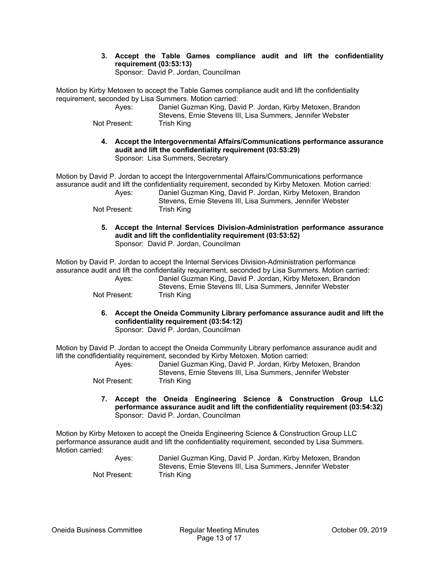**3. Accept the Table Games compliance audit and lift the confidentiality requirement (03:53:13)**  Sponsor: David P. Jordan, Councilman

Motion by Kirby Metoxen to accept the Table Games compliance audit and lift the confidentiality requirement, seconded by Lisa Summers. Motion carried:

| Aves:        | Daniel Guzman King, David P. Jordan, Kirby Metoxen, Brandon |
|--------------|-------------------------------------------------------------|
|              | Stevens. Ernie Stevens III. Lisa Summers. Jennifer Webster  |
| Not Present: | Trish King                                                  |

**4. Accept the Intergovernmental Affairs/Communications performance assurance audit and lift the confidentiality requirement (03:53:29)**  Sponsor: Lisa Summers, Secretary

Motion by David P. Jordan to accept the Intergovernmental Affairs/Communications performance assurance audit and lift the confidentiality requirement, seconded by Kirby Metoxen. Motion carried: Ayes: Daniel Guzman King, David P. Jordan, Kirby Metoxen, Brandon

Stevens, Ernie Stevens III, Lisa Summers, Jennifer Webster Not Present: Trish King

**5. Accept the Internal Services Division-Administration performance assurance audit and lift the confidentiality requirement (03:53:52)**  Sponsor: David P. Jordan, Councilman

Motion by David P. Jordan to accept the Internal Services Division-Administration performance assurance audit and lift the confidentality requirement, seconded by Lisa Summers. Motion carried: Ayes: Daniel Guzman King, David P. Jordan, Kirby Metoxen, Brandon Stevens, Ernie Stevens III, Lisa Summers, Jennifer Webster Not Present: Trish King

> **6. Accept the Oneida Community Library perfomance assurance audit and lift the confidentiality requirement (03:54:12)**

Sponsor: David P. Jordan, Councilman

Motion by David P. Jordan to accept the Oneida Community Library perfomance assurance audit and lift the condfidentiality requirement, seconded by Kirby Metoxen. Motion carried:

| Aves:        | Daniel Guzman King, David P. Jordan, Kirby Metoxen, Brandon |
|--------------|-------------------------------------------------------------|
|              | Stevens. Ernie Stevens III. Lisa Summers. Jennifer Webster  |
| Not Present: | Trish King                                                  |

**7. Accept the Oneida Engineering Science & Construction Group LLC performance assurance audit and lift the confidentiality requirement (03:54:32)**  Sponsor: David P. Jordan, Councilman

Motion by Kirby Metoxen to accept the Oneida Engineering Science & Construction Group LLC performance assurance audit and lift the confidentiality requirement, seconded by Lisa Summers. Motion carried:

| Aves:        | Daniel Guzman King, David P. Jordan, Kirby Metoxen, Brandon |
|--------------|-------------------------------------------------------------|
|              | Stevens. Ernie Stevens III. Lisa Summers. Jennifer Webster  |
| Not Present: | Trish King                                                  |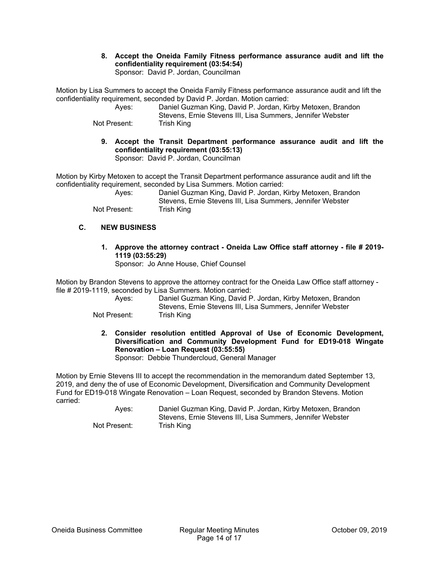**8. Accept the Oneida Family Fitness performance assurance audit and lift the confidentiality requirement (03:54:54)**  Sponsor: David P. Jordan, Councilman

Motion by Lisa Summers to accept the Oneida Family Fitness performance assurance audit and lift the confidentiality requirement, seconded by David P. Jordan. Motion carried:

| Aves:        | Daniel Guzman King, David P. Jordan, Kirby Metoxen, Brandon |
|--------------|-------------------------------------------------------------|
|              | Stevens. Ernie Stevens III. Lisa Summers. Jennifer Webster  |
| Not Present: | Trish King                                                  |

**9. Accept the Transit Department performance assurance audit and lift the confidentiality requirement (03:55:13)**  Sponsor: David P. Jordan, Councilman

Motion by Kirby Metoxen to accept the Transit Department performance assurance audit and lift the confidentiality requirement, seconded by Lisa Summers. Motion carried:

 Ayes: Daniel Guzman King, David P. Jordan, Kirby Metoxen, Brandon Stevens, Ernie Stevens III, Lisa Summers, Jennifer Webster Not Present: Trish King

**C. NEW BUSINESS** 

**1. Approve the attorney contract - Oneida Law Office staff attorney - file # 2019- 1119 (03:55:29)** 

Sponsor: Jo Anne House, Chief Counsel

Motion by Brandon Stevens to approve the attorney contract for the Oneida Law Office staff attorney file # 2019-1119, seconded by Lisa Summers. Motion carried:

| Aves:        | Daniel Guzman King, David P. Jordan, Kirby Metoxen, Brandon |
|--------------|-------------------------------------------------------------|
|              | Stevens, Ernie Stevens III, Lisa Summers, Jennifer Webster  |
| Not Present: | Trish King                                                  |

- Not Pr
	- **2. Consider resolution entitled Approval of Use of Economic Development, Diversification and Community Development Fund for ED19-018 Wingate Renovation – Loan Request (03:55:55)**

Sponsor: Debbie Thundercloud, General Manager

Motion by Ernie Stevens III to accept the recommendation in the memorandum dated September 13, 2019, and deny the of use of Economic Development, Diversification and Community Development Fund for ED19-018 Wingate Renovation – Loan Request, seconded by Brandon Stevens. Motion carried:

 Ayes: Daniel Guzman King, David P. Jordan, Kirby Metoxen, Brandon Stevens, Ernie Stevens III, Lisa Summers, Jennifer Webster Not Present: Trish King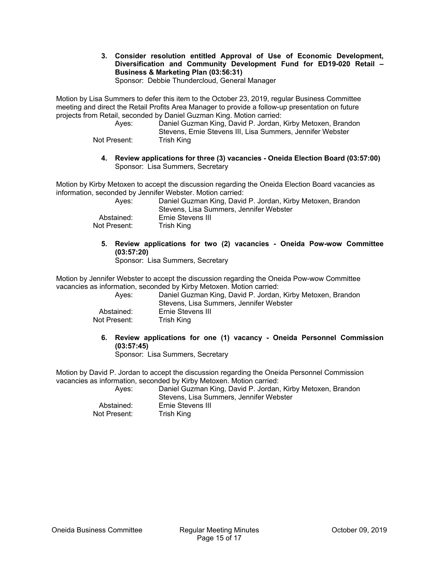**3. Consider resolution entitled Approval of Use of Economic Development, Diversification and Community Development Fund for ED19-020 Retail – Business & Marketing Plan (03:56:31)** 

Sponsor: Debbie Thundercloud, General Manager

Motion by Lisa Summers to defer this item to the October 23, 2019, regular Business Committee meeting and direct the Retail Profits Area Manager to provide a follow-up presentation on future projects from Retail, seconded by Daniel Guzman King. Motion carried:

 Ayes: Daniel Guzman King, David P. Jordan, Kirby Metoxen, Brandon Stevens, Ernie Stevens III, Lisa Summers, Jennifer Webster Not Present: Trish King

**4. Review applications for three (3) vacancies - Oneida Election Board (03:57:00)**  Sponsor: Lisa Summers, Secretary

Motion by Kirby Metoxen to accept the discussion regarding the Oneida Election Board vacancies as information, seconded by Jennifer Webster. Motion carried:

| Aves:        | Daniel Guzman King, David P. Jordan, Kirby Metoxen, Brandon<br>Stevens, Lisa Summers, Jennifer Webster |
|--------------|--------------------------------------------------------------------------------------------------------|
| Abstained:   | Ernie Stevens III                                                                                      |
| Not Present: | Trish King                                                                                             |

**5. Review applications for two (2) vacancies - Oneida Pow-wow Committee (03:57:20)** 

Sponsor: Lisa Summers, Secretary

Motion by Jennifer Webster to accept the discussion regarding the Oneida Pow-wow Committee vacancies as information, seconded by Kirby Metoxen. Motion carried:

| Aves:        | Daniel Guzman King, David P. Jordan, Kirby Metoxen, Brandon<br>Stevens, Lisa Summers, Jennifer Webster |
|--------------|--------------------------------------------------------------------------------------------------------|
| Abstained:   | Ernie Stevens III                                                                                      |
| Not Present: | Trish King                                                                                             |

**6. Review applications for one (1) vacancy - Oneida Personnel Commission (03:57:45)** 

Sponsor: Lisa Summers, Secretary

Motion by David P. Jordan to accept the discussion regarding the Oneida Personnel Commission vacancies as information, seconded by Kirby Metoxen. Motion carried:

| Aves:        | Daniel Guzman King, David P. Jordan, Kirby Metoxen, Brandon<br>Stevens, Lisa Summers, Jennifer Webster |
|--------------|--------------------------------------------------------------------------------------------------------|
| Abstained:   | Ernie Stevens III                                                                                      |
| Not Present: | Trish King                                                                                             |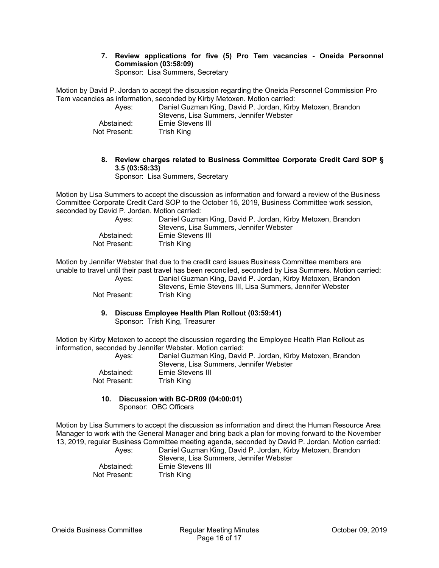#### **7. Review applications for five (5) Pro Tem vacancies - Oneida Personnel Commission (03:58:09)**  Sponsor: Lisa Summers, Secretary

Motion by David P. Jordan to accept the discussion regarding the Oneida Personnel Commission Pro Tem vacancies as information, seconded by Kirby Metoxen. Motion carried:

| Aves:        | Daniel Guzman King, David P. Jordan, Kirby Metoxen, Brandon<br>Stevens, Lisa Summers, Jennifer Webster |
|--------------|--------------------------------------------------------------------------------------------------------|
| Abstained:   | Ernie Stevens III                                                                                      |
| Not Present: | Trish King                                                                                             |

## **8. Review charges related to Business Committee Corporate Credit Card SOP § 3.5 (03:58:33)**

Sponsor: Lisa Summers, Secretary

Motion by Lisa Summers to accept the discussion as information and forward a review of the Business Committee Corporate Credit Card SOP to the October 15, 2019, Business Committee work session, seconded by David P. Jordan. Motion carried:

| Aves:        | Daniel Guzman King, David P. Jordan, Kirby Metoxen, Brandon |
|--------------|-------------------------------------------------------------|
|              | Stevens, Lisa Summers, Jennifer Webster                     |
| Abstained:   | Ernie Stevens III                                           |
| Not Present: | Trish King                                                  |

Motion by Jennifer Webster that due to the credit card issues Business Committee members are unable to travel until their past travel has been reconciled, seconded by Lisa Summers. Motion carried:

 Ayes: Daniel Guzman King, David P. Jordan, Kirby Metoxen, Brandon Stevens, Ernie Stevens III, Lisa Summers, Jennifer Webster Not Present: Trish King

**9. Discuss Employee Health Plan Rollout (03:59:41)**  Sponsor: Trish King, Treasurer

Motion by Kirby Metoxen to accept the discussion regarding the Employee Health Plan Rollout as information, seconded by Jennifer Webster. Motion carried:

| Aves:        | Daniel Guzman King, David P. Jordan, Kirby Metoxen, Brandon<br>Stevens, Lisa Summers, Jennifer Webster |
|--------------|--------------------------------------------------------------------------------------------------------|
| Abstained:   | Ernie Stevens III                                                                                      |
| Not Present: | Trish King                                                                                             |

#### **10. Discussion with BC-DR09 (04:00:01)**  Sponsor: OBC Officers

Motion by Lisa Summers to accept the discussion as information and direct the Human Resource Area Manager to work with the General Manager and bring back a plan for moving forward to the November 13, 2019, regular Business Committee meeting agenda, seconded by David P. Jordan. Motion carried:

 Ayes: Daniel Guzman King, David P. Jordan, Kirby Metoxen, Brandon Stevens, Lisa Summers, Jennifer Webster Abstained: Ernie Stevens III Not Present: Trish King